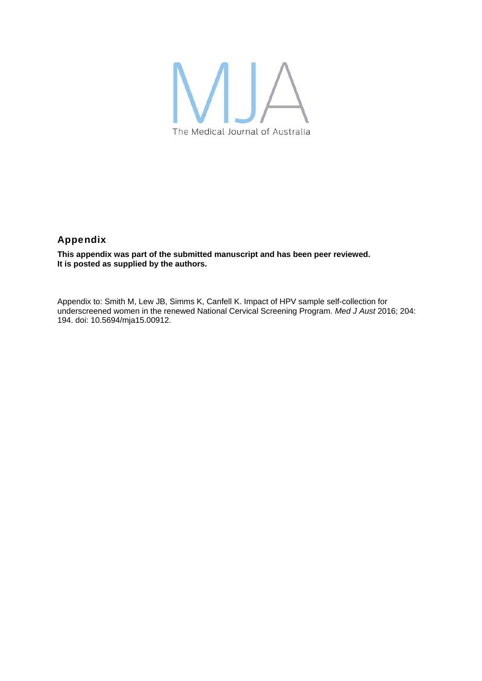

## Appendix

**This appendix was part of the submitted manuscript and has been peer reviewed. It is posted as supplied by the authors.** 

Appendix to: Smith M, Lew JB, Simms K, Canfell K. Impact of HPV sample self-collection for underscreened women in the renewed National Cervical Screening Program. *Med J Aust* 2016; 204: 194. doi: 10.5694/mja15.00912.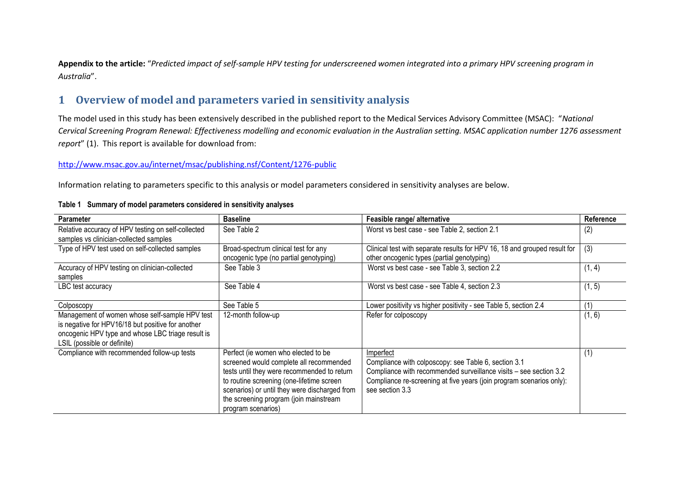**Appendix to the article:** "*Predicted impact of self-sample HPV testing for underscreened women integrated into a primary HPV screening program in Australia*".

# **1 Overview of model and parameters varied in sensitivity analysis**

The model used in this study has been extensively described in the published report to the Medical Services Advisory Committee (MSAC): "*National Cervical Screening Program Renewal: Effectiveness modelling and economic evaluation in the Australian setting. MSAC application number 1276 assessment report*" [\(1\)](#page-11-0). This report is available for download from:

#### <http://www.msac.gov.au/internet/msac/publishing.nsf/Content/1276-public>

Information relating to parameters specific to this analysis or model parameters considered in sensitivity analyses are below.

| <b>Parameter</b>                                                                                                                                                                        | <b>Baseline</b>                                                                                                                                                                                                                                                                             | Feasible range/ alternative                                                                                                                                                                                                       | Reference |
|-----------------------------------------------------------------------------------------------------------------------------------------------------------------------------------------|---------------------------------------------------------------------------------------------------------------------------------------------------------------------------------------------------------------------------------------------------------------------------------------------|-----------------------------------------------------------------------------------------------------------------------------------------------------------------------------------------------------------------------------------|-----------|
| Relative accuracy of HPV testing on self-collected<br>samples vs clinician-collected samples                                                                                            | See Table 2                                                                                                                                                                                                                                                                                 | Worst vs best case - see Table 2, section 2.1                                                                                                                                                                                     | (2)       |
| Type of HPV test used on self-collected samples                                                                                                                                         | Broad-spectrum clinical test for any<br>oncogenic type (no partial genotyping)                                                                                                                                                                                                              | Clinical test with separate results for HPV 16, 18 and grouped result for<br>other oncogenic types (partial genotyping)                                                                                                           | (3)       |
| Accuracy of HPV testing on clinician-collected<br>samples                                                                                                                               | See Table 3                                                                                                                                                                                                                                                                                 | Worst vs best case - see Table 3, section 2.2                                                                                                                                                                                     | (1, 4)    |
| LBC test accuracy                                                                                                                                                                       | See Table 4                                                                                                                                                                                                                                                                                 | Worst vs best case - see Table 4, section 2.3                                                                                                                                                                                     | (1, 5)    |
| Colposcopy                                                                                                                                                                              | See Table 5                                                                                                                                                                                                                                                                                 | Lower positivity vs higher positivity - see Table 5, section 2.4                                                                                                                                                                  | (1)       |
| Management of women whose self-sample HPV test<br>is negative for HPV16/18 but positive for another<br>oncogenic HPV type and whose LBC triage result is<br>LSIL (possible or definite) | 12-month follow-up                                                                                                                                                                                                                                                                          | Refer for colposcopy                                                                                                                                                                                                              | (1, 6)    |
| Compliance with recommended follow-up tests                                                                                                                                             | Perfect (ie women who elected to be<br>screened would complete all recommended<br>tests until they were recommended to return<br>to routine screening (one-lifetime screen<br>scenarios) or until they were discharged from<br>the screening program (join mainstream<br>program scenarios) | Imperfect<br>Compliance with colposcopy: see Table 6, section 3.1<br>Compliance with recommended surveillance visits - see section 3.2<br>Compliance re-screening at five years (join program scenarios only):<br>see section 3.3 | (1)       |

#### **Table 1 Summary of model parameters considered in sensitivity analyses**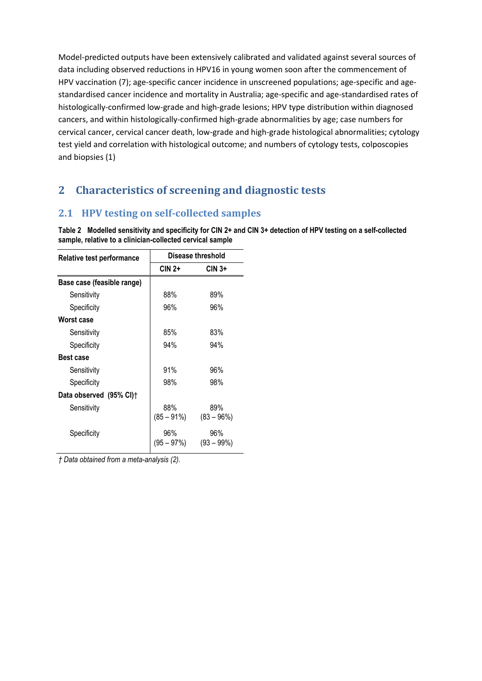<span id="page-2-1"></span><span id="page-2-0"></span>Model-predicted outputs have been extensively calibrated and validated against several sources of data including observed reductions in HPV16 in young women soon after the commencement of HPV vaccination [\(7\)](#page-11-6); age-specific cancer incidence in unscreened populations; age-specific and agestandardised cancer incidence and mortality in Australia; age-specific and age-standardised rates of histologically-confirmed low-grade and high-grade lesions; HPV type distribution within diagnosed cancers, and within histologically-confirmed high-grade abnormalities by age; case numbers for cervical cancer, cervical cancer death, low-grade and high-grade histological abnormalities; cytology test yield and correlation with histological outcome; and numbers of cytology tests, colposcopies and biopsies [\(1\)](#page-11-7)

# **2 Characteristics of screening and diagnostic tests**

## **2.1 HPV testing on self-collected samples**

**Table 2 Modelled sensitivity and specificity for CIN 2+ and CIN 3+ detection of HPV testing on a self-collected sample, relative to a clinician-collected cervical sample**

| Relative test performance  | Disease threshold    |                     |  |
|----------------------------|----------------------|---------------------|--|
|                            | CIN 2+               | $CIN3+$             |  |
| Base case (feasible range) |                      |                     |  |
| Sensitivity                | 88%                  | 89%                 |  |
| Specificity                | 96%                  | 96%                 |  |
| Worst case                 |                      |                     |  |
| Sensitivity                | 85%                  | 83%                 |  |
| Specificity                | 94%                  | 94%                 |  |
| <b>Best case</b>           |                      |                     |  |
| Sensitivity                | 91%                  | 96%                 |  |
| Specificity                | 98%                  | 98%                 |  |
| Data observed (95% CI)†    |                      |                     |  |
| Sensitivity                | 88%<br>$(85 - 91\%)$ | 89%<br>$(83 - 96%)$ |  |
| Specificity                | 96%<br>$(95 - 97%)$  | 96%<br>$(93 - 99%)$ |  |

*† Data obtained from a meta-analysis [\(2\)](#page-11-8).*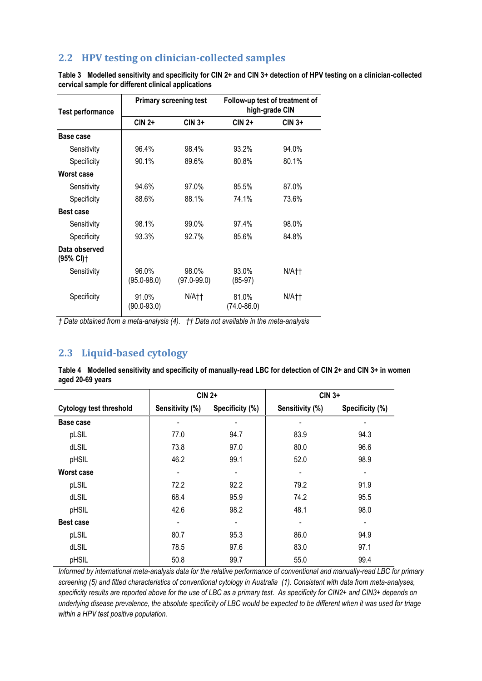## <span id="page-3-1"></span><span id="page-3-0"></span>**2.2 HPV testing on clinician-collected samples**

**Table 3 Modelled sensitivity and specificity for CIN 2+ and CIN 3+ detection of HPV testing on a clinician-collected cervical sample for different clinical applications**  $\overline{a}$ 

<span id="page-3-3"></span><span id="page-3-2"></span>

| <b>Test performance</b>                | <b>Primary screening test</b> |                          | Follow-up test of treatment of<br>high-grade CIN |         |
|----------------------------------------|-------------------------------|--------------------------|--------------------------------------------------|---------|
|                                        | $CIN2+$                       | $CIN 3+$                 | $CIN 2+$                                         | $CIN3+$ |
| Base case                              |                               |                          |                                                  |         |
| Sensitivity                            | 96.4%                         | 98.4%                    | 93.2%                                            | 94.0%   |
| Specificity                            | 90.1%                         | 89.6%                    | 80.8%                                            | 80.1%   |
| <b>Worst case</b>                      |                               |                          |                                                  |         |
| Sensitivity                            | 94.6%                         | 97.0%                    | 85.5%                                            | 87.0%   |
| Specificity                            | 88.6%                         | 88.1%                    | 74.1%                                            | 73.6%   |
| <b>Best case</b>                       |                               |                          |                                                  |         |
| Sensitivity                            | 98.1%                         | 99.0%                    | 97.4%                                            | 98.0%   |
| Specificity                            | 93.3%                         | 92.7%                    | 85.6%                                            | 84.8%   |
| Data observed<br>$(95\% \text{ Cl})$ † |                               |                          |                                                  |         |
| Sensitivity                            | 96.0%<br>$(95.0 - 98.0)$      | 98.0%<br>$(97.0 - 99.0)$ | 93.0%<br>$(85-97)$                               | N/A††   |
| Specificity                            | 91.0%<br>$(90.0 - 93.0)$      | N/A††                    | 81.0%<br>$(74.0 - 86.0)$                         | N/A††   |

*† Data obtained from a meta-analysis [\(4\)](#page-11-9). †† Data not available in the meta-analysis*

### **2.3 Liquid-based cytology**

**Table 4 Modelled sensitivity and specificity of manually-read LBC for detection of CIN 2+ and CIN 3+ in women aged 20-69 years**

|                                | $CIN2+$         |                 | $CIN3+$         |                 |
|--------------------------------|-----------------|-----------------|-----------------|-----------------|
| <b>Cytology test threshold</b> | Sensitivity (%) | Specificity (%) | Sensitivity (%) | Specificity (%) |
| Base case                      |                 |                 |                 |                 |
| pLSIL                          | 77.0            | 94.7            | 83.9            | 94.3            |
| dLSIL                          | 73.8            | 97.0            | 80.0            | 96.6            |
| pHSIL                          | 46.2            | 99.1            | 52.0            | 98.9            |
| Worst case                     |                 |                 |                 |                 |
| pLSIL                          | 72.2            | 92.2            | 79.2            | 91.9            |
| dLSIL                          | 68.4            | 95.9            | 74.2            | 95.5            |
| pHSIL                          | 42.6            | 98.2            | 48.1            | 98.0            |
| Best case                      |                 |                 |                 |                 |
| pLSIL                          | 80.7            | 95.3            | 86.0            | 94.9            |
| dLSIL                          | 78.5            | 97.6            | 83.0            | 97.1            |
| pHSIL                          | 50.8            | 99.7            | 55.0            | 99.4            |

*Informed by international meta-analysis data for the relative performance of conventional and manually-read LBC for primary screening [\(5\)](#page-11-10) and fitted characteristics of conventional cytology in Australia [\(1\)](#page-11-7). Consistent with data from meta-analyses, specificity results are reported above for the use of LBC as a primary test. As specificity for CIN2+ and CIN3+ depends on underlying disease prevalence, the absolute specificity of LBC would be expected to be different when it was used for triage within a HPV test positive population.*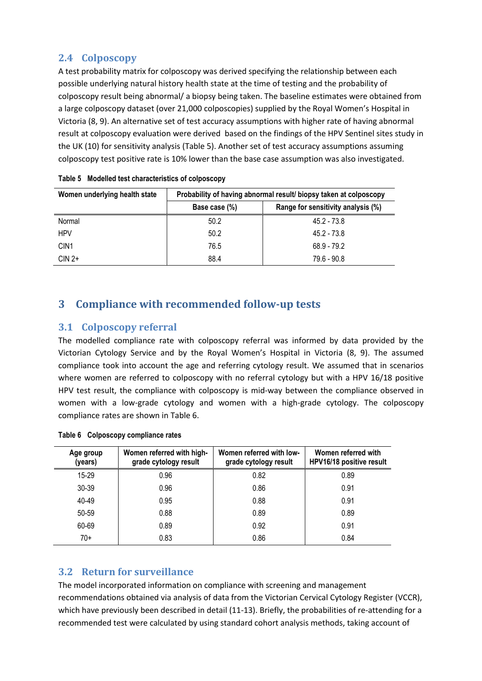## <span id="page-4-1"></span><span id="page-4-0"></span>**2.4 Colposcopy**

<span id="page-4-3"></span>A test probability matrix for colposcopy was derived specifying the relationship between each possible underlying natural history health state at the time of testing and the probability of colposcopy result being abnormal/ a biopsy being taken. The baseline estimates were obtained from a large colposcopy dataset (over 21,000 colposcopies) supplied by the Royal Women's Hospital in Victoria [\(8,](#page-11-11) [9\)](#page-11-12). An alternative set of test accuracy assumptions with higher rate of having abnormal result at colposcopy evaluation were derived based on the findings of the HPV Sentinel sites study in the UK [\(10\)](#page-11-13) for sensitivity analysis [\(Table 5\)](#page-4-5). Another set of test accuracy assumptions assuming colposcopy test positive rate is 10% lower than the base case assumption was also investigated.

<span id="page-4-2"></span>

| Women underlying health state | Probability of having abnormal result/biopsy taken at colposcopy |                                    |  |
|-------------------------------|------------------------------------------------------------------|------------------------------------|--|
|                               | Base case (%)                                                    | Range for sensitivity analysis (%) |  |
| Normal                        | 50.2                                                             | 45.2 - 73.8                        |  |
| <b>HPV</b>                    | 50.2                                                             | 45.2 - 73.8                        |  |
| CIN <sub>1</sub>              | 76.5                                                             | 68.9 - 79.2                        |  |
| $CIN 2+$                      | 88.4                                                             | $79.6 - 90.8$                      |  |

<span id="page-4-5"></span>

## **3 Compliance with recommended follow-up tests**

#### **3.1 Colposcopy referral**

<span id="page-4-4"></span>The modelled compliance rate with colposcopy referral was informed by data provided by the Victorian Cytology Service and by the Royal Women's Hospital in Victoria [\(8,](#page-11-11) [9\)](#page-11-12). The assumed compliance took into account the age and referring cytology result. We assumed that in scenarios where women are referred to colposcopy with no referral cytology but with a HPV 16/18 positive HPV test result, the compliance with colposcopy is mid-way between the compliance observed in women with a low-grade cytology and women with a high-grade cytology. The colposcopy compliance rates are shown i[n Table 6.](#page-4-6)

| Age group<br>(years) | Women referred with high-<br>grade cytology result | Women referred with low-<br>grade cytology result | Women referred with<br>HPV16/18 positive result |
|----------------------|----------------------------------------------------|---------------------------------------------------|-------------------------------------------------|
| $15-29$              | 0.96                                               | 0.82                                              | 0.89                                            |
| 30-39                | 0.96                                               | 0.86                                              | 0.91                                            |
| 40-49                | 0.95                                               | 0.88                                              | 0.91                                            |
| 50-59                | 0.88                                               | 0.89                                              | 0.89                                            |
| 60-69                | 0.89                                               | 0.92                                              | 0.91                                            |
| $70+$                | 0.83                                               | 0.86                                              | 0.84                                            |

#### <span id="page-4-6"></span>**Table 6 Colposcopy compliance rates**

## **3.2 Return for surveillance**

The model incorporated information on compliance with screening and management recommendations obtained via analysis of data from the Victorian Cervical Cytology Register (VCCR), which have previously been described in detail [\(11-13\)](#page-11-14). Briefly, the probabilities of re-attending for a recommended test were calculated by using standard cohort analysis methods, taking account of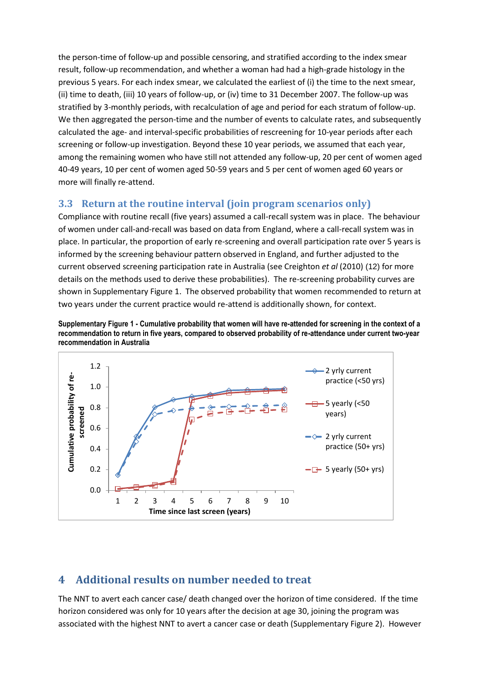<span id="page-5-0"></span>the person-time of follow-up and possible censoring, and stratified according to the index smear result, follow-up recommendation, and whether a woman had had a high-grade histology in the previous 5 years. For each index smear, we calculated the earliest of (i) the time to the next smear, (ii) time to death, (iii) 10 years of follow-up, or (iv) time to 31 December 2007. The follow-up was stratified by 3-monthly periods, with recalculation of age and period for each stratum of follow-up. We then aggregated the person-time and the number of events to calculate rates, and subsequently calculated the age- and interval-specific probabilities of rescreening for 10-year periods after each screening or follow-up investigation. Beyond these 10 year periods, we assumed that each year, among the remaining women who have still not attended any follow-up, 20 per cent of women aged 40-49 years, 10 per cent of women aged 50-59 years and 5 per cent of women aged 60 years or more will finally re-attend.

## **3.3 Return at the routine interval (join program scenarios only)**

Compliance with routine recall (five years) assumed a call-recall system was in place. The behaviour of women under call-and-recall was based on data from England, where a call-recall system was in place. In particular, the proportion of early re-screening and overall participation rate over 5 years is informed by the screening behaviour pattern observed in England, and further adjusted to the current observed screening participation rate in Australia (see Creighton *et al* (2010) [\(12\)](#page-11-15) for more details on the methods used to derive these probabilities). The re-screening probability curves are shown in [Supplementary Figure 1.](#page-5-1) The observed probability that women recommended to return at two years under the current practice would re-attend is additionally shown, for context.

<span id="page-5-1"></span>



# **4 Additional results on number needed to treat**

The NNT to avert each cancer case/ death changed over the horizon of time considered. If the time horizon considered was only for 10 years after the decision at age 30, joining the program was associated with the highest NNT to avert a cancer case or death [\(Supplementary Figure 2\)](#page-6-0). However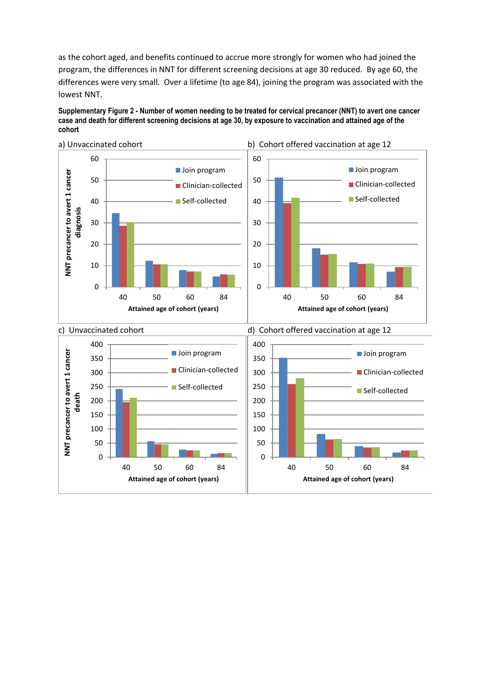as the cohort aged, and benefits continued to accrue more strongly for women who had joined the program, the differences in NNT for different screening decisions at age 30 reduced. By age 60, the differences were very small. Over a lifetime (to age 84), joining the program was associated with the lowest NNT.

<span id="page-6-0"></span>**Supplementary Figure 2 - Number of women needing to be treated for cervical precancer (NNT) to avert one cancer case and death for different screening decisions at age 30, by exposure to vaccination and attained age of the cohort**

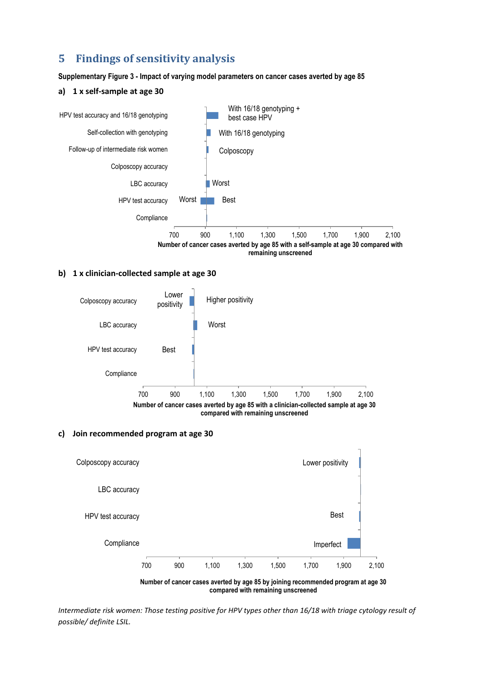# **5 Findings of sensitivity analysis**

**Supplementary Figure 3 - Impact of varying model parameters on cancer cases averted by age 85** 

#### **a) 1 x self-sample at age 30**



#### **b) 1 x clinician-collected sample at age 30**



#### **c) Join recommended program at age 30**



*Intermediate risk women: Those testing positive for HPV types other than 16/18 with triage cytology result of possible/ definite LSIL.*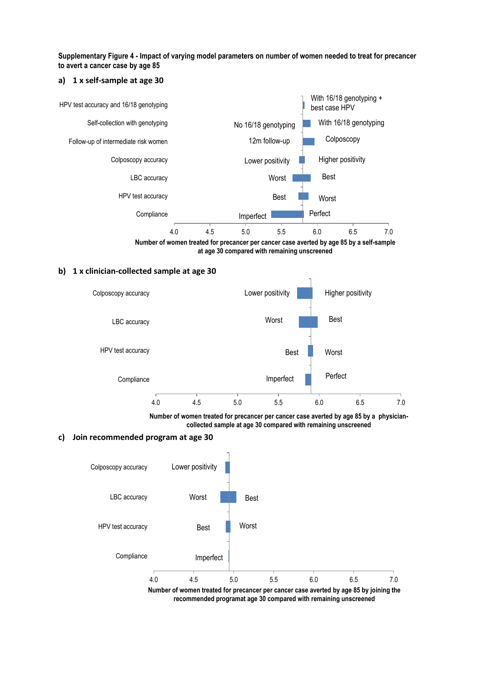**Supplementary Figure 4 - Impact of varying model parameters on number of women needed to treat for precancer to avert a cancer case by age 85** 

#### **a) 1 x self-sample at age 30**



**Number of women treated for precancer per cancer case averted by age 85 by a self-sample at age 30 compared with remaining unscreened**

#### **b) 1 x clinician-collected sample at age 30**



**Number of women treated for precancer per cancer case averted by age 85 by a physiciancollected sample at age 30 compared with remaining unscreened**

#### **c) Join recommended program at age 30**



**recommended programat age 30 compared with remaining unscreened**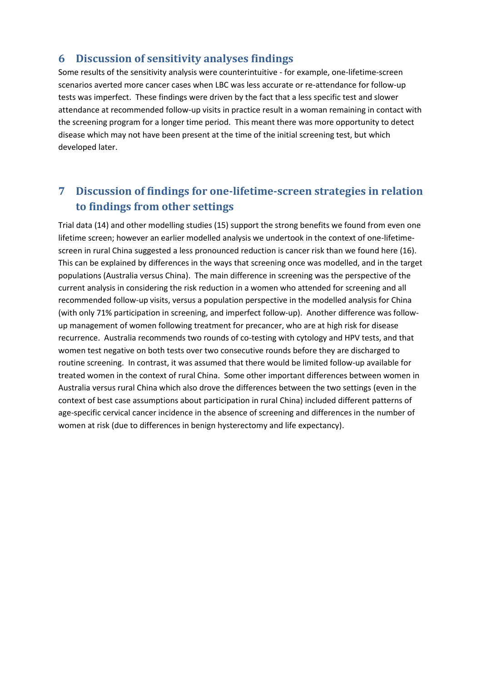## **6 Discussion of sensitivity analyses findings**

Some results of the sensitivity analysis were counterintuitive - for example, one-lifetime-screen scenarios averted more cancer cases when LBC was less accurate or re-attendance for follow-up tests was imperfect. These findings were driven by the fact that a less specific test and slower attendance at recommended follow-up visits in practice result in a woman remaining in contact with the screening program for a longer time period. This meant there was more opportunity to detect disease which may not have been present at the time of the initial screening test, but which developed later.

# **7 Discussion of findings for one-lifetime-screen strategies in relation to findings from other settings**

Trial data [\(14\)](#page-11-16) and other modelling studies [\(15\)](#page-11-17) support the strong benefits we found from even one lifetime screen; however an earlier modelled analysis we undertook in the context of one-lifetimescreen in rural China suggested a less pronounced reduction is cancer risk than we found here [\(16\)](#page-11-18). This can be explained by differences in the ways that screening once was modelled, and in the target populations (Australia versus China). The main difference in screening was the perspective of the current analysis in considering the risk reduction in a women who attended for screening and all recommended follow-up visits, versus a population perspective in the modelled analysis for China (with only 71% participation in screening, and imperfect follow-up). Another difference was followup management of women following treatment for precancer, who are at high risk for disease recurrence. Australia recommends two rounds of co-testing with cytology and HPV tests, and that women test negative on both tests over two consecutive rounds before they are discharged to routine screening. In contrast, it was assumed that there would be limited follow-up available for treated women in the context of rural China. Some other important differences between women in Australia versus rural China which also drove the differences between the two settings (even in the context of best case assumptions about participation in rural China) included different patterns of age-specific cervical cancer incidence in the absence of screening and differences in the number of women at risk (due to differences in benign hysterectomy and life expectancy).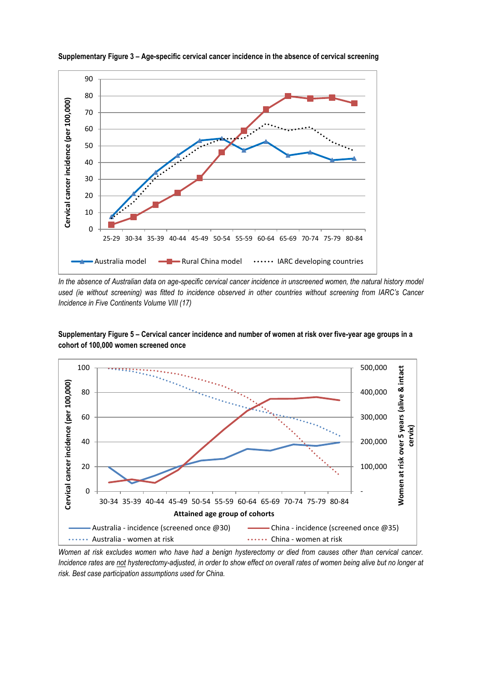

**Supplementary Figure 3 – Age-specific cervical cancer incidence in the absence of cervical screening**

In the absence of Australian data on age-specific cervical cancer incidence in unscreened women, the natural history model *used (ie without screening) was fitted to incidence observed in other countries without screening from IARC's Cancer Incidence in Five Continents Volume VIII [\(17\)](#page-11-19)*



**Supplementary Figure 5 – Cervical cancer incidence and number of women at risk over five-year age groups in a cohort of 100,000 women screened once**

*Women at risk excludes women who have had a benign hysterectomy or died from causes other than cervical cancer. Incidence rates are not hysterectomy-adjusted, in order to show effect on overall rates of women being alive but no longer at risk. Best case participation assumptions used for China.*